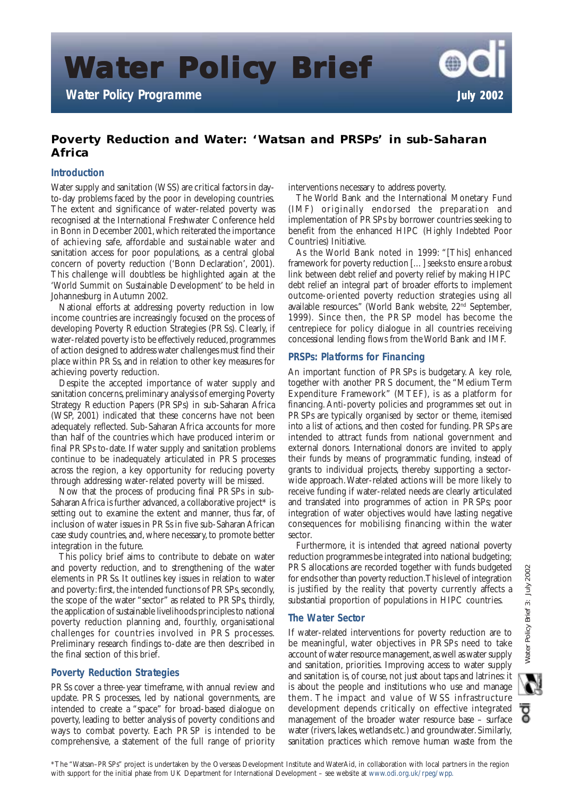**Water Policy Brief ater Policy Brief Policy** 

**Water Policy Programme** *July 2002*

# **Poverty Reduction and Water: 'Watsan and PRSPs' in sub-Saharan Africa**

# **Introduction**

Water supply and sanitation (WSS) are critical factors in dayto-day problems faced by the poor in developing countries. The extent and significance of water-related poverty was recognised at the International Freshwater Conference held in Bonn in December 2001, which reiterated the importance of achieving safe, affordable and sustainable water and sanitation access for poor populations, as a central global concern of poverty reduction ('Bonn Declaration', 2001). This challenge will doubtless be highlighted again at the 'World Summit on Sustainable Development' to be held in Johannesburg in Autumn 2002.

National efforts at addressing poverty reduction in low income countries are increasingly focused on the process of developing Poverty Reduction Strategies (PRSs). Clearly, if water-related poverty is to be effectively reduced, programmes of action designed to address water challenges must find their place within PRSs, and in relation to other key measures for achieving poverty reduction.

Despite the accepted importance of water supply and sanitation concerns, preliminary analysis of emerging Poverty Strategy Reduction Papers (PRSPs) in sub-Saharan Africa (WSP, 2001) indicated that these concerns have not been adequately reflected. Sub-Saharan Africa accounts for more than half of the countries which have produced interim or final PRSPs to-date. If water supply and sanitation problems continue to be inadequately articulated in PRS processes across the region, a key opportunity for reducing poverty through addressing water-related poverty will be missed.

Now that the process of producing final PRSPs in sub-Saharan Africa is further advanced, a collaborative project\* is setting out to examine the extent and manner, thus far, of inclusion of water issues in PRSs in five sub-Saharan African case study countries, and, where necessary, to promote better integration in the future.

This policy brief aims to contribute to debate on water and poverty reduction, and to strengthening of the water elements in PRSs. It outlines key issues in relation to water and poverty: first, the intended functions of PRSPs, secondly, the scope of the water "sector" as related to PRSPs, thirdly, the application of sustainable livelihoods principles to national poverty reduction planning and, fourthly, organisational challenges for countries involved in PRS processes. Preliminary research findings to-date are then described in the final section of this brief.

# **Poverty Reduction Strategies**

PRSs cover a three-year timeframe, with annual review and update. PRS processes, led by national governments, are intended to create a "space" for broad-based dialogue on poverty, leading to better analysis of poverty conditions and ways to combat poverty. Each PRSP is intended to be comprehensive, a statement of the full range of priority interventions necessary to address poverty.

The World Bank and the International Monetary Fund (IMF) originally endorsed the preparation and implementation of PRSPs by borrower countries seeking to benefit from the enhanced HIPC (Highly Indebted Poor Countries) Initiative.

As the World Bank noted in 1999: "[This] enhanced framework for poverty reduction […] seeks to ensure a robust link between debt relief and poverty relief by making HIPC debt relief an integral part of broader efforts to implement outcome-oriented poverty reduction strategies using all available resources." (World Bank website, 22nd September, 1999). Since then, the PRSP model has become the centrepiece for policy dialogue in all countries receiving concessional lending flows from the World Bank and IMF.

# **PRSPs: Platforms for Financing**

An important function of PRSPs is budgetary. A key role, together with another PRS document, the "Medium Term Expenditure Framework" (MTEF), is as a platform for financing. Anti-poverty policies and programmes set out in PRSPs are typically organised by sector or theme, itemised into a list of actions, and then costed for funding. PRSPs are intended to attract funds from national government and external donors. International donors are invited to apply their funds by means of programmatic funding, instead of grants to individual projects, thereby supporting a sectorwide approach. Water-related actions will be more likely to receive funding if water-related needs are clearly articulated and translated into programmes of action in PRSPs; poor integration of water objectives would have lasting negative consequences for mobilising financing within the water sector.

Furthermore, it is intended that agreed national poverty reduction programmes be integrated into national budgeting; PRS allocations are recorded together with funds budgeted for ends other than poverty reduction. This level of integration is justified by the reality that poverty currently affects a substantial proportion of populations in HIPC countries.

# **The Water Sector**

If water-related interventions for poverty reduction are to be meaningful, water objectives in PRSPs need to take account of water resource management, as well as water supply and sanitation, priorities. Improving access to water supply and sanitation is, of course, not just about taps and latrines: it is about the people and institutions who use and manage them. The impact and value of WSS infrastructure development depends critically on effective integrated management of the broader water resource base – surface water (rivers, lakes, wetlands etc.) and groundwater. Similarly, sanitation practices which remove human waste from the

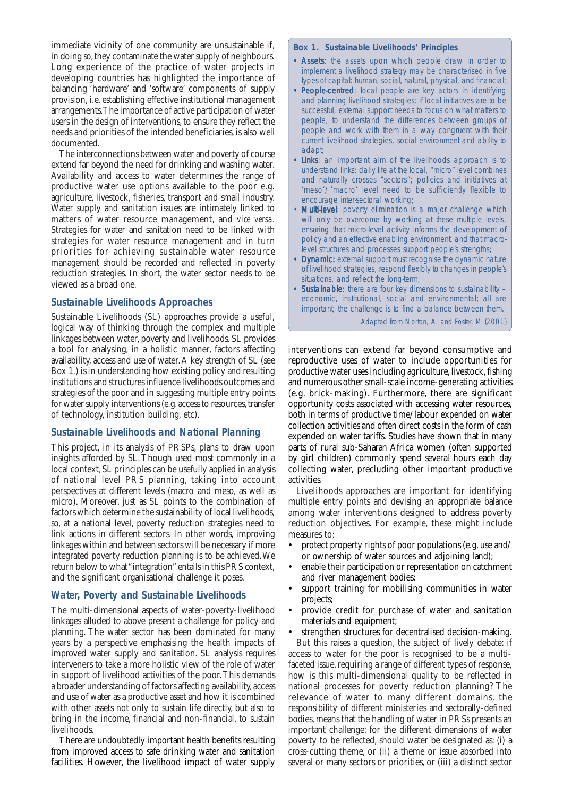immediate vicinity of one community are unsustainable if, in doing so, they contaminate the water supply of neighbours. Long experience of the practice of water projects in developing countries has highlighted the importance of balancing 'hardware' and 'software' components of supply provision, i.e. establishing effective institutional management arrangements. The importance of active participation of water users in the design of interventions, to ensure they reflect the needs and priorities of the intended beneficiaries, is also well documented.

The interconnections between water and poverty of course extend far beyond the need for drinking and washing water. Availability and access to water determines the range of productive water use options available to the poor e.g. agriculture, livestock, fisheries, transport and small industry. Water supply and sanitation issues are intimately linked to matters of water resource management, and *vice versa*. Strategies for water and sanitation need to be linked with strategies for water resource management and in turn priorities for achieving sustainable water resource management should be recorded and reflected in poverty reduction strategies. In short, the water sector needs to be viewed as a broad one.

### **Sustainable Livelihoods Approaches**

Sustainable Livelihoods (SL) approaches provide a useful, logical way of thinking through the complex and multiple linkages between water, poverty and livelihoods. SL provides a tool for analysing, in a holistic manner, factors affecting availability, access and use of water. A key strength of SL (see Box 1.) is in understanding how existing policy and resulting institutions and structures influence livelihoods outcomes and strategies of the poor and in suggesting multiple entry points for water supply interventions (e.g. access to resources, transfer of technology, institution building, etc).

### **Sustainable Livelihoods and National Planning**

This project, in its analysis of PRSPs, plans to draw upon insights afforded by SL. Though used most commonly in a local context, SL principles can be usefully applied in analysis of national level PRS planning, taking into account perspectives at different levels (macro and meso, as well as micro). Moreover, just as SL points to the combination of factors which determine the sustainability of local livelihoods, so, at a national level, poverty reduction strategies need to link actions in different sectors. In other words, improving linkages within and between sectors will be necessary if more integrated poverty reduction planning is to be achieved. We return below to what "integration" entails in this PRS context, and the significant organisational challenge it poses.

### **Water, Poverty and Sustainable Livelihoods**

The multi-dimensional aspects of water-poverty-livelihood linkages alluded to above present a challenge for policy and planning. The water sector has been dominated for many years by a perspective emphasising the health impacts of improved water supply and sanitation. SL analysis requires interveners to take a more holistic view of the role of water in support of livelihood activities of the poor. This demands a broader understanding of factors affecting availability, access and use of water as a productive asset and how it is combined with other assets not only to sustain life directly, but also to bring in the income, financial and non-financial, to sustain livelihoods.

There are undoubtedly important health benefits resulting from improved access to safe drinking water and sanitation facilities. However, the livelihood impact of water supply

#### **Box 1. Sustainable Livelihoods' Principles**

- Assets: the assets upon which people draw in order to implement a livelihood strategy may be characterised in five types of capital: human, social, natural, physical, and financial;
- People-centred: local people are key actors in identifying and planning livelihood strategies; if local initiatives are to be successful, external support needs to focus on what matters to people, to understand the differences between groups of people and work with them in a way congruent with their current livelihood strategies, social environment and ability to adapt;
- Links: an important aim of the livelihoods approach is to understand links: daily life at the local, "micro" level combines and naturally crosses "sectors"; policies and initiatives at 'meso'/'macro' level need to be sufficiently flexible to encourage inter-sectoral working;
- Multi-level: poverty elimination is a major challenge which will only be overcome by working at these multiple levels, ensuring that micro-level activity informs the development of policy and an effective enabling environment, and that macrolevel structures and processes support people's strengths;
- Dynamic: external support must recognise the dynamic nature of livelihood strategies, respond flexibly to changes in people's situations, and reflect the long-term;
- Sustainable: there are four key dimensions to sustainability economic, institutional, social and environmental; all are important; the challenge is to find a balance between them.

Adapted from Norton, A. and Foster, M (2001)

interventions can extend far beyond consumptive and reproductive uses of water to include opportunities for productive water uses including agriculture, livestock, fishing and numerous other small-scale income-generating activities (e.g. brick-making). Furthermore, there are significant opportunity costs associated with accessing water resources, both in terms of productive time/labour expended on water collection activities and often direct costs in the form of cash expended on water tariffs. Studies have shown that in many parts of rural sub-Saharan Africa women (often supported by girl children) commonly spend several hours each day collecting water, precluding other important productive activities.

Livelihoods approaches are important for identifying multiple entry points and devising an appropriate balance among water interventions designed to address poverty reduction objectives. For example, these might include measures to:

- protect property rights of poor populations (e.g. use and/ or ownership of water sources and adjoining land);
- enable their participation or representation on catchment and river management bodies;
- support training for mobilising communities in water projects;
- provide credit for purchase of water and sanitation materials and equipment;
- strengthen structures for decentralised decision-making. But this raises a question, the subject of lively debate: if access to water for the poor is recognised to be a multifaceted issue, requiring a range of different types of response, how is this multi-dimensional quality to be reflected in national processes for poverty reduction planning? The relevance of water to many different domains, the responsibility of different ministeries and sectorally-defined bodies, means that the handling of water in PRSs presents an important challenge: for the different dimensions of water poverty to be reflected, should water be designated as: (i) a cross-cutting theme, or (ii) a theme or issue absorbed into several or many sectors or priorities, or (iii) a distinct sector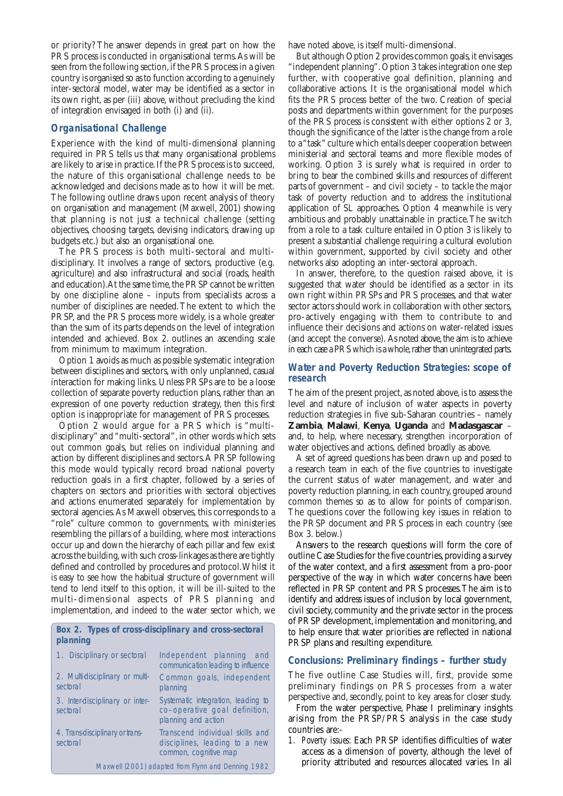or priority? The answer depends in great part on how the PRS process is conducted in organisational terms. As will be seen from the following section, if the PRS process in a given country is organised so as to function according to a genuinely inter-sectoral model, water may be identified as a sector in its own right, as per (iii) above, without precluding the kind of integration envisaged in both (i) and (ii).

## **Organisational Challenge**

Experience with the kind of multi-dimensional planning required in PRS tells us that many organisational problems are likely to arise in practice. If the PRS process is to succeed, the nature of this organisational challenge needs to be acknowledged and decisions made as to how it will be met. The following outline draws upon recent analysis of theory on organisation and management (Maxwell, 2001) showing that planning is not just a technical challenge (setting objectives, choosing targets, devising indicators, drawing up budgets etc.) but also an organisational one.

The PRS process is both multi-sectoral and multidisciplinary. It involves a range of sectors, productive (e.g. agriculture) and also infrastructural and social (roads, health and education). At the same time, the PRSP cannot be written by one discipline alone – inputs from specialists across a number of disciplines are needed. The extent to which the PRSP, and the PRS process more widely, is a whole greater than the sum of its parts depends on the level of integration intended and achieved. Box 2. outlines an ascending scale from minimum to maximum integration.

Option 1 avoids as much as possible systematic integration between disciplines and sectors, with only unplanned, casual interaction for making links. Unless PRSPs are to be a loose collection of separate poverty reduction plans, rather than an expression of one poverty reduction strategy, then this first option is inappropriate for management of PRS processes.

Option 2 would argue for a PRS which is "multidisciplinary" and "multi-sectoral", in other words which sets out common goals, but relies on individual planning and action by different disciplines and sectors. A PRSP following this mode would typically record broad national poverty reduction goals in a first chapter, followed by a series of chapters on sectors and priorities with sectoral objectives and actions enumerated separately for implementation by sectoral agencies. As Maxwell observes, this corresponds to a "role" culture common to governments, with ministeries resembling the pillars of a building, where most interactions occur up and down the hierarchy of each pillar and few exist across the building, with such cross-linkages as there are tightly defined and controlled by procedures and protocol. Whilst it is easy to see how the habitual structure of government will tend to lend itself to this option, it will be ill-suited to the multi-dimensional aspects of PRS planning and implementation, and indeed to the water sector which, we

#### **Box 2. Types of cross-disciplinary and cross-sectoral planning**

| 1. Disciplinary or sectoral                        | Independent planning and<br>communication leading to influence                             |
|----------------------------------------------------|--------------------------------------------------------------------------------------------|
| 2. Multi-disciplinary or multi-<br>sectoral        | Common goals, independent<br>planning                                                      |
| 3. Inter-disciplinary or inter-<br>sectoral        | Systematic integration, leading to<br>co-operative goal definition,<br>planning and action |
| 4. Trans-disciplinary or trans-<br>sectoral        | Transcend individual skills and<br>disciplines, leading to a new<br>common, cognitive map  |
| Maxwell (2001) adapted from Flynn and Denning 1982 |                                                                                            |

have noted above, is itself multi-dimensional.

But although Option 2 provides common goals, it envisages "independent planning". Option 3 takes integration one step further, with cooperative goal definition, planning and collaborative actions. It is the organisational model which fits the PRS process better of the two. Creation of special posts and departments within government for the purposes of the PRS process is consistent with either options 2 or 3, though the significance of the latter is the change from a role to a "task" culture which entails deeper cooperation between ministerial and sectoral teams and more flexible modes of working. Option 3 is surely what is required in order to bring to bear the combined skills and resources of different parts of government – and civil society – to tackle the major task of poverty reduction and to address the institutional application of SL approaches. Option 4 meanwhile is very ambitious and probably unattainable in practice. The switch from a role to a task culture entailed in Option 3 is likely to present a substantial challenge requiring a cultural evolution within government, supported by civil society and other networks also adopting an inter-sectoral approach.

In answer, therefore, to the question raised above, it is suggested that water should be identified as a sector in its own right within PRSPs and PRS processes, and that water sector actors should work in collaboration with other sectors, pro-actively engaging with them to contribute to and influence their decisions and actions on water-related issues (and accept the converse). As noted above, the aim is to achieve in each case a PRS which is a whole, rather than unintegrated parts.

### **Water and Poverty Reduction Strategies: scope of research**

The aim of the present project, as noted above, is to assess the level and nature of inclusion of water aspects in poverty reduction strategies in five sub-Saharan countries – namely **Zambia**, **Malawi**, **Kenya**, **Uganda** and **Madasgascar** – and, to help, where necessary, strengthen incorporation of water objectives and actions, defined broadly as above.

A set of agreed questions has been drawn up and posed to a research team in each of the five countries to investigate the current status of water management, and water and poverty reduction planning, in each country, grouped around common themes so as to allow for points of comparison. The questions cover the following key issues in relation to the PRSP document and PRS process in each country (see Box 3. below.)

Answers to the research questions will form the core of outline Case Studies for the five countries, providing a survey of the water context, and a first assessment from a pro-poor perspective of the way in which water concerns have been reflected in PRSP content and PRS processes. The aim is to identify and address issues of inclusion by local government, civil society, community and the private sector in the process of PRSP development, implementation and monitoring, and to help ensure that water priorities are reflected in national PRSP plans and resulting expenditure.

### **Conclusions: Preliminary findings – further study**

The five outline Case Studies will, first, provide some preliminary findings on PRS processes from a water perspective and, secondly, point to key areas for closer study.

From the water perspective, Phase I preliminary insights arising from the PRSP/PRS analysis in the case study countries are:-

*1. Poverty issues:* Each PRSP identifies difficulties of water access as a dimension of poverty, although the level of priority attributed and resources allocated varies. In all